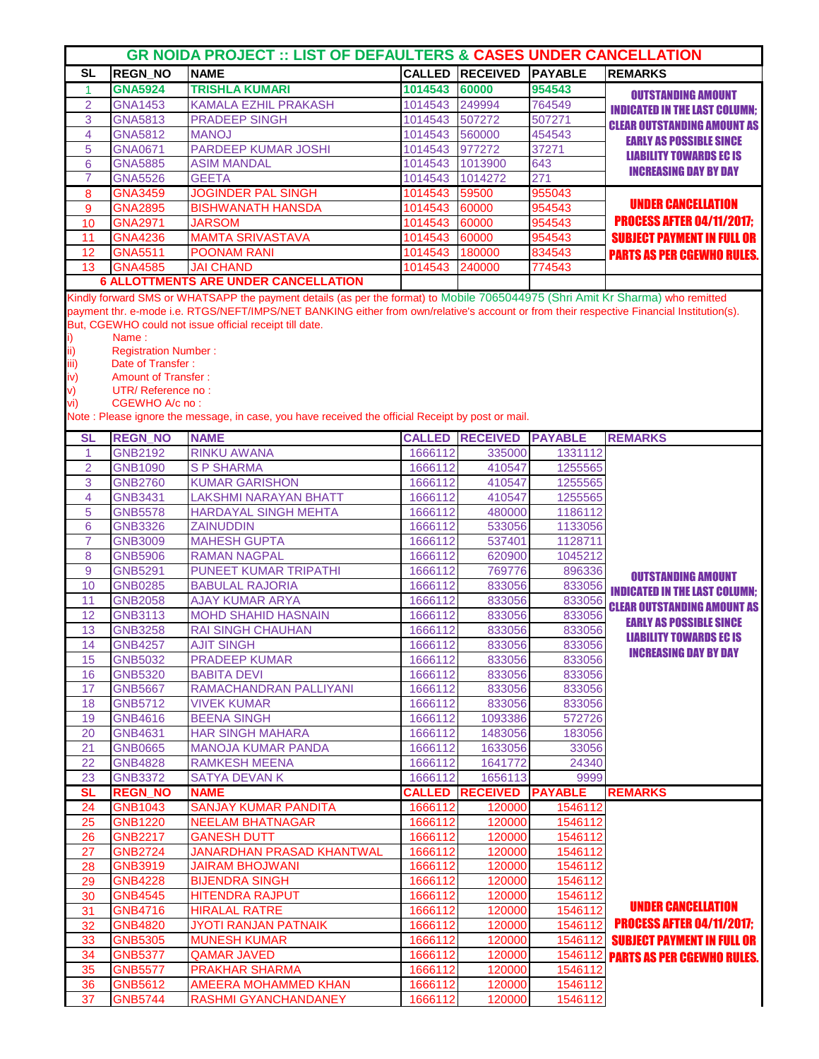| <b>GR NOIDA PROJECT :: LIST OF DEFAULTERS &amp; CASES UNDER CANCELLATION</b> |                                                  |                                                                                                                                           |                    |                                |                    |                                                                      |  |  |  |
|------------------------------------------------------------------------------|--------------------------------------------------|-------------------------------------------------------------------------------------------------------------------------------------------|--------------------|--------------------------------|--------------------|----------------------------------------------------------------------|--|--|--|
| <b>SL</b>                                                                    | <b>REGN_NO</b>                                   | <b>NAME</b>                                                                                                                               |                    | <b>CALLED RECEIVED</b>         | <b>PAYABLE</b>     | <b>REMARKS</b>                                                       |  |  |  |
| $\mathbf{1}$                                                                 | <b>GNA5924</b>                                   | <b>TRISHLA KUMARI</b>                                                                                                                     | 1014543            | 60000                          | 954543             |                                                                      |  |  |  |
| $\overline{2}$                                                               | <b>GNA1453</b>                                   | <b>KAMALA EZHIL PRAKASH</b>                                                                                                               | 1014543            | 249994                         | 764549             | <b>OUTSTANDING AMOUNT</b>                                            |  |  |  |
| 3                                                                            | <b>GNA5813</b>                                   | <b>PRADEEP SINGH</b>                                                                                                                      | 1014543            | 507272                         | 507271             | <b>INDICATED IN THE LAST COLUMN;</b>                                 |  |  |  |
| 4                                                                            | <b>GNA5812</b>                                   | <b>MANOJ</b>                                                                                                                              | 1014543            | 560000                         | 454543             | <b>CLEAR OUTSTANDING AMOUNT AS</b>                                   |  |  |  |
| 5                                                                            | <b>GNA0671</b>                                   | PARDEEP KUMAR JOSHI                                                                                                                       | 1014543            | 977272                         | 37271              | <b>EARLY AS POSSIBLE SINCE</b>                                       |  |  |  |
| 6                                                                            | <b>GNA5885</b>                                   | <b>ASIM MANDAL</b>                                                                                                                        | 1014543            | 1013900                        | 643                | <b>LIABILITY TOWARDS EC IS</b>                                       |  |  |  |
| 7                                                                            | <b>GNA5526</b>                                   | <b>GEETA</b>                                                                                                                              | 1014543            | 1014272                        | 271                | <b>INCREASING DAY BY DAY</b>                                         |  |  |  |
| 8                                                                            | <b>GNA3459</b>                                   | <b>JOGINDER PAL SINGH</b>                                                                                                                 | 1014543            | 59500                          | 955043             |                                                                      |  |  |  |
| $\overline{9}$                                                               | <b>GNA2895</b>                                   | <b>BISHWANATH HANSDA</b>                                                                                                                  | 1014543            | 60000                          | 954543             | <b>UNDER CANCELLATION</b>                                            |  |  |  |
| 10                                                                           | <b>GNA2971</b>                                   | <b>JARSOM</b>                                                                                                                             | 1014543            | 60000                          | 954543             | <b>PROCESS AFTER 04/11/2017:</b>                                     |  |  |  |
| 11                                                                           | <b>GNA4236</b>                                   | <b>MAMTA SRIVASTAVA</b>                                                                                                                   | 1014543            | 60000                          | 954543             | <b>SUBJECT PAYMENT IN FULL OR</b>                                    |  |  |  |
| 12                                                                           | GNA5511                                          | <b>POONAM RANI</b>                                                                                                                        | 1014543            | 180000                         | 834543             | <b>PARTS AS PER CGEWHO RULES.</b>                                    |  |  |  |
| 13                                                                           | <b>GNA4585</b>                                   | <b>JAI CHAND</b>                                                                                                                          | 1014543            | 240000                         | 774543             |                                                                      |  |  |  |
|                                                                              |                                                  | <b>6 ALLOTTMENTS ARE UNDER CANCELLATION</b>                                                                                               |                    |                                |                    |                                                                      |  |  |  |
|                                                                              |                                                  | Kindly forward SMS or WHATSAPP the payment details (as per the format) to Mobile 7065044975 (Shri Amit Kr Sharma) who remitted            |                    |                                |                    |                                                                      |  |  |  |
|                                                                              |                                                  | payment thr. e-mode i.e. RTGS/NEFT/IMPS/NET BANKING either from own/relative's account or from their respective Financial Institution(s). |                    |                                |                    |                                                                      |  |  |  |
|                                                                              |                                                  | But, CGEWHO could not issue official receipt till date.                                                                                   |                    |                                |                    |                                                                      |  |  |  |
| i)                                                                           | Name:                                            |                                                                                                                                           |                    |                                |                    |                                                                      |  |  |  |
| ii)                                                                          | <b>Registration Number:</b><br>Date of Transfer: |                                                                                                                                           |                    |                                |                    |                                                                      |  |  |  |
| iii)<br>iv)                                                                  | <b>Amount of Transfer:</b>                       |                                                                                                                                           |                    |                                |                    |                                                                      |  |  |  |
| V)                                                                           | UTR/Reference no:                                |                                                                                                                                           |                    |                                |                    |                                                                      |  |  |  |
| vi)                                                                          | CGEWHO A/c no:                                   |                                                                                                                                           |                    |                                |                    |                                                                      |  |  |  |
|                                                                              |                                                  | Note : Please ignore the message, in case, you have received the official Receipt by post or mail.                                        |                    |                                |                    |                                                                      |  |  |  |
| <b>SL</b>                                                                    | <b>REGN_NO</b>                                   | <b>NAME</b>                                                                                                                               | <b>CALLED</b>      | <b>RECEIVED</b>                | <b>PAYABLE</b>     | <b>REMARKS</b>                                                       |  |  |  |
| $\overline{1}$                                                               | <b>GNB2192</b>                                   | <b>RINKU AWANA</b>                                                                                                                        | 1666112            | 335000                         | 1331112            |                                                                      |  |  |  |
| $\overline{2}$                                                               | <b>GNB1090</b>                                   | <b>SP SHARMA</b>                                                                                                                          | 1666112            | 410547                         | 1255565            |                                                                      |  |  |  |
| 3                                                                            | <b>GNB2760</b>                                   | <b>KUMAR GARISHON</b>                                                                                                                     | 1666112            | 410547                         | 1255565            |                                                                      |  |  |  |
| 4                                                                            | <b>GNB3431</b>                                   | <b>LAKSHMI NARAYAN BHATT</b>                                                                                                              | 1666112            | 410547                         | 1255565            |                                                                      |  |  |  |
| 5                                                                            | <b>GNB5578</b>                                   | <b>HARDAYAL SINGH MEHTA</b>                                                                                                               | 1666112            | 480000                         | 1186112            |                                                                      |  |  |  |
| 6                                                                            | <b>GNB3326</b>                                   | <b>ZAINUDDIN</b>                                                                                                                          | 1666112            | 533056                         | 1133056            |                                                                      |  |  |  |
| $\overline{7}$                                                               | <b>GNB3009</b>                                   | <b>MAHESH GUPTA</b>                                                                                                                       | 1666112            | 537401                         | 1128711            |                                                                      |  |  |  |
| 8                                                                            | <b>GNB5906</b>                                   | <b>RAMAN NAGPAL</b>                                                                                                                       | 1666112            | 620900                         | 1045212            |                                                                      |  |  |  |
| 9                                                                            | <b>GNB5291</b>                                   | PUNEET KUMAR TRIPATHI                                                                                                                     | 1666112            | 769776                         | 896336             | <b>OUTSTANDING AMOUNT</b>                                            |  |  |  |
| 10                                                                           | <b>GNB0285</b>                                   | <b>BABULAL RAJORIA</b>                                                                                                                    | 1666112            | 833056                         | 833056             |                                                                      |  |  |  |
| 11                                                                           | <b>GNB2058</b>                                   | <b>AJAY KUMAR ARYA</b>                                                                                                                    | 1666112            | 833056                         | 833056             | <b>INDICATED IN THE LAST COLUMN;</b>                                 |  |  |  |
| 12                                                                           | <b>GNB3113</b>                                   | <b>MOHD SHAHID HASNAIN</b>                                                                                                                | 1666112            | 833056                         | 833056             | <b>CLEAR OUTSTANDING AMOUNT AS</b><br><b>EARLY AS POSSIBLE SINCE</b> |  |  |  |
| 13                                                                           | <b>GNB3258</b>                                   | <b>RAI SINGH CHAUHAN</b>                                                                                                                  | 1666112            | 833056                         | 833056             | <b>LIABILITY TOWARDS EC IS</b>                                       |  |  |  |
| 14                                                                           | <b>GNB4257</b>                                   | <b>AJIT SINGH</b>                                                                                                                         | 1666112            | 833056                         | 833056             |                                                                      |  |  |  |
| 15                                                                           | <b>GNB5032</b>                                   | <b>PRADEEP KUMAR</b>                                                                                                                      | 1666112            | 833056                         | 833056             | <b>INCREASING DAY BY DAY</b>                                         |  |  |  |
| 16                                                                           | <b>GNB5320</b>                                   | <b>BABITA DEVI</b>                                                                                                                        | 1666112            | 833056                         | 833056             |                                                                      |  |  |  |
| 17                                                                           | <b>GNB5667</b>                                   | RAMACHANDRAN PALLIYANI                                                                                                                    | 1666112            | 833056                         | 833056             |                                                                      |  |  |  |
| 18                                                                           | <b>GNB5712</b>                                   | <b>VIVEK KUMAR</b>                                                                                                                        | 1666112            | 833056                         | 833056             |                                                                      |  |  |  |
| 19                                                                           | <b>GNB4616</b>                                   | <b>BEENA SINGH</b>                                                                                                                        | 1666112            | 1093386                        | 572726             |                                                                      |  |  |  |
| 20                                                                           | GNB4631                                          | <b>HAR SINGH MAHARA</b>                                                                                                                   | 1666112            | 1483056                        | 183056             |                                                                      |  |  |  |
| 21                                                                           | <b>GNB0665</b>                                   | <b>MANOJA KUMAR PANDA</b>                                                                                                                 | 1666112            | 1633056                        | 33056              |                                                                      |  |  |  |
| 22                                                                           | <b>GNB4828</b>                                   | <b>RAMKESH MEENA</b>                                                                                                                      | 1666112            | 1641772                        | 24340              |                                                                      |  |  |  |
| 23                                                                           | <b>GNB3372</b>                                   | <b>SATYA DEVAN K</b>                                                                                                                      | 1666112            | 1656113                        | 9999               |                                                                      |  |  |  |
| <b>SL</b>                                                                    | <b>REGN_NO</b>                                   | <b>NAME</b>                                                                                                                               |                    | <b>CALLED RECEIVED PAYABLE</b> |                    | <b>REMARKS</b>                                                       |  |  |  |
| 24                                                                           | <b>GNB1043</b>                                   | <b>SANJAY KUMAR PANDITA</b>                                                                                                               | 1666112            | 120000                         | 1546112            |                                                                      |  |  |  |
| 25                                                                           | <b>GNB1220</b>                                   | <b>NEELAM BHATNAGAR</b>                                                                                                                   | 1666112            | 120000                         | 1546112            |                                                                      |  |  |  |
| 26                                                                           | <b>GNB2217</b>                                   | <b>GANESH DUTT</b>                                                                                                                        | 1666112            | 120000                         | 1546112            |                                                                      |  |  |  |
| 27                                                                           | <b>GNB2724</b>                                   | JANARDHAN PRASAD KHANTWAL                                                                                                                 | 1666112            | 120000                         | 1546112            |                                                                      |  |  |  |
| 28                                                                           | GNB3919                                          | <b>JAIRAM BHOJWANI</b>                                                                                                                    | 1666112            | 120000                         | 1546112            |                                                                      |  |  |  |
| 29                                                                           | <b>GNB4228</b>                                   | <b>BIJENDRA SINGH</b>                                                                                                                     | 1666112            | 120000                         | 1546112            |                                                                      |  |  |  |
| 30                                                                           | <b>GNB4545</b>                                   | <b>HITENDRA RAJPUT</b>                                                                                                                    | 1666112            | 120000                         | 1546112            | <b>UNDER CANCELLATION</b>                                            |  |  |  |
| 31                                                                           | <b>GNB4716</b>                                   | <b>HIRALAL RATRE</b>                                                                                                                      | 1666112            | 120000                         | 1546112            | <b>PROCESS AFTER 04/11/2017;</b>                                     |  |  |  |
| 32                                                                           | <b>GNB4820</b>                                   | <b>JYOTI RANJAN PATNAIK</b><br><b>MUNESH KUMAR</b>                                                                                        | 1666112            | 120000<br>120000               | 1546112<br>1546112 |                                                                      |  |  |  |
| 33<br>34                                                                     | <b>GNB5305</b>                                   |                                                                                                                                           | 1666112            |                                |                    | <b>SUBJECT PAYMENT IN FULL OR</b>                                    |  |  |  |
| 35                                                                           | <b>GNB5377</b><br><b>GNB5577</b>                 | <b>QAMAR JAVED</b><br><b>PRAKHAR SHARMA</b>                                                                                               | 1666112<br>1666112 | 120000<br>120000               | 1546112<br>1546112 | <b>PARTS AS PER CGEWHO RULES.</b>                                    |  |  |  |
| 36                                                                           | GNB5612                                          | AMEERA MOHAMMED KHAN                                                                                                                      | 1666112            | 120000                         | 1546112            |                                                                      |  |  |  |
| 37                                                                           | <b>GNB5744</b>                                   | RASHMI GYANCHANDANEY                                                                                                                      | 1666112            | 120000                         | 1546112            |                                                                      |  |  |  |
|                                                                              |                                                  |                                                                                                                                           |                    |                                |                    |                                                                      |  |  |  |